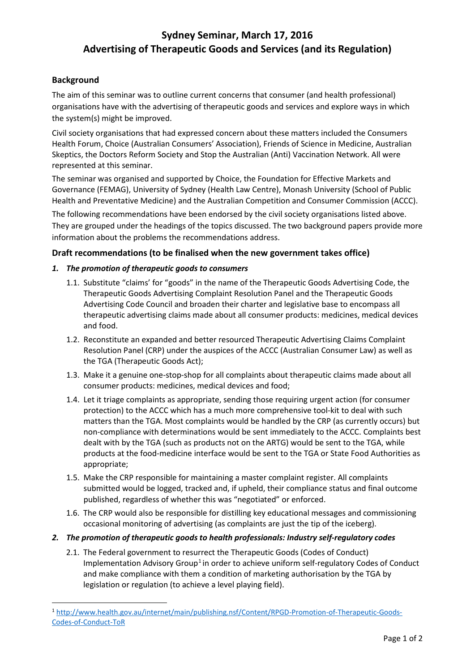# **Sydney Seminar, March 17, 2016 Advertising of Therapeutic Goods and Services (and its Regulation)**

# **Background**

The aim of this seminar was to outline current concerns that consumer (and health professional) organisations have with the advertising of therapeutic goods and services and explore ways in which the system(s) might be improved.

Civil society organisations that had expressed concern about these matters included the Consumers Health Forum, Choice (Australian Consumers' Association), Friends of Science in Medicine, Australian Skeptics, the Doctors Reform Society and Stop the Australian (Anti) Vaccination Network. All were represented at this seminar.

The seminar was organised and supported by Choice, the Foundation for Effective Markets and Governance (FEMAG), University of Sydney (Health Law Centre), Monash University (School of Public Health and Preventative Medicine) and the Australian Competition and Consumer Commission (ACCC).

The following recommendations have been endorsed by the civil society organisations listed above. They are grouped under the headings of the topics discussed. The two background papers provide more information about the problems the recommendations address.

# **Draft recommendations (to be finalised when the new government takes office)**

## *1. The promotion of therapeutic goods to consumers*

- 1.1. Substitute "claims' for "goods" in the name of the Therapeutic Goods Advertising Code, the Therapeutic Goods Advertising Complaint Resolution Panel and the Therapeutic Goods Advertising Code Council and broaden their charter and legislative base to encompass all therapeutic advertising claims made about all consumer products: medicines, medical devices and food.
- 1.2. Reconstitute an expanded and better resourced Therapeutic Advertising Claims Complaint Resolution Panel (CRP) under the auspices of the ACCC (Australian Consumer Law) as well as the TGA (Therapeutic Goods Act);
- 1.3. Make it a genuine one-stop-shop for all complaints about therapeutic claims made about all consumer products: medicines, medical devices and food;
- 1.4. Let it triage complaints as appropriate, sending those requiring urgent action (for consumer protection) to the ACCC which has a much more comprehensive tool-kit to deal with such matters than the TGA. Most complaints would be handled by the CRP (as currently occurs) but non-compliance with determinations would be sent immediately to the ACCC. Complaints best dealt with by the TGA (such as products not on the ARTG) would be sent to the TGA, while products at the food-medicine interface would be sent to the TGA or State Food Authorities as appropriate;
- 1.5. Make the CRP responsible for maintaining a master complaint register. All complaints submitted would be logged, tracked and, if upheld, their compliance status and final outcome published, regardless of whether this was "negotiated" or enforced.
- 1.6. The CRP would also be responsible for distilling key educational messages and commissioning occasional monitoring of advertising (as complaints are just the tip of the iceberg).

#### *2. The promotion of therapeutic goods to health professionals: Industry self-regulatory codes*

2.1. The Federal government to resurrect the Therapeutic Goods (Codes of Conduct) Implementation Advisory Group<sup>[1](#page-0-0)</sup> in order to achieve uniform self-regulatory Codes of Conduct and make compliance with them a condition of marketing authorisation by the TGA by legislation or regulation (to achieve a level playing field).

<span id="page-0-0"></span> <sup>1</sup> [http://www.health.gov.au/internet/main/publishing.nsf/Content/RPGD-Promotion-of-Therapeutic-Goods-](http://www.health.gov.au/internet/main/publishing.nsf/Content/RPGD-Promotion-of-Therapeutic-Goods-Codes-of-Conduct-ToR)[Codes-of-Conduct-ToR](http://www.health.gov.au/internet/main/publishing.nsf/Content/RPGD-Promotion-of-Therapeutic-Goods-Codes-of-Conduct-ToR)